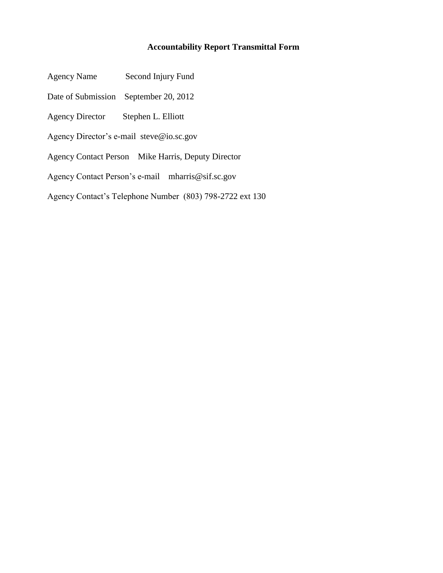## **Accountability Report Transmittal Form**

- Agency Name Second Injury Fund
- Date of Submission September 20, 2012
- Agency Director Stephen L. Elliott
- Agency Director's e-mail steve@io.sc.gov
- Agency Contact Person Mike Harris, Deputy Director
- Agency Contact Person's e-mail mharris@sif.sc.gov
- Agency Contact's Telephone Number (803) 798-2722 ext 130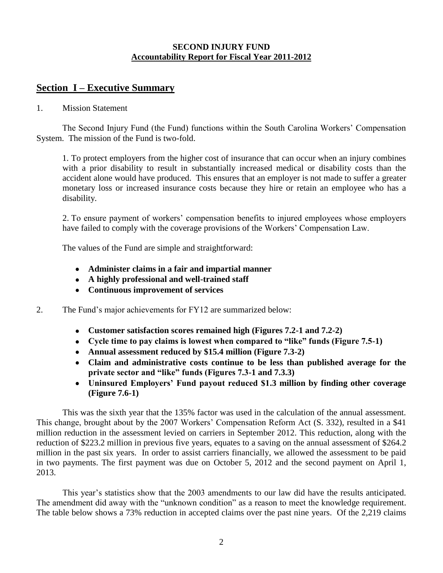#### **SECOND INJURY FUND Accountability Report for Fiscal Year 2011-2012**

## **Section I – Executive Summary**

#### 1. Mission Statement

The Second Injury Fund (the Fund) functions within the South Carolina Workers' Compensation System. The mission of the Fund is two-fold.

1. To protect employers from the higher cost of insurance that can occur when an injury combines with a prior disability to result in substantially increased medical or disability costs than the accident alone would have produced. This ensures that an employer is not made to suffer a greater monetary loss or increased insurance costs because they hire or retain an employee who has a disability.

2. To ensure payment of workers' compensation benefits to injured employees whose employers have failed to comply with the coverage provisions of the Workers' Compensation Law.

The values of the Fund are simple and straightforward:

- **Administer claims in a fair and impartial manner**
- **A highly professional and well-trained staff**
- **Continuous improvement of services**
- 2. The Fund's major achievements for FY12 are summarized below:
	- **Customer satisfaction scores remained high (Figures 7.2-1 and 7.2-2)**
	- **Cycle time to pay claims is lowest when compared to "like" funds (Figure 7.5-1)**
	- **Annual assessment reduced by \$15.4 million (Figure 7.3-2)**
	- **Claim and administrative costs continue to be less than published average for the private sector and "like" funds (Figures 7.3-1 and 7.3.3)**
	- **Uninsured Employers' Fund payout reduced \$1.3 million by finding other coverage (Figure 7.6-1)**

 This was the sixth year that the 135% factor was used in the calculation of the annual assessment. This change, brought about by the 2007 Workers' Compensation Reform Act (S. 332), resulted in a \$41 million reduction in the assessment levied on carriers in September 2012. This reduction, along with the reduction of \$223.2 million in previous five years, equates to a saving on the annual assessment of \$264.2 million in the past six years. In order to assist carriers financially, we allowed the assessment to be paid in two payments. The first payment was due on October 5, 2012 and the second payment on April 1, 2013.

This year's statistics show that the 2003 amendments to our law did have the results anticipated. The amendment did away with the "unknown condition" as a reason to meet the knowledge requirement. The table below shows a 73% reduction in accepted claims over the past nine years. Of the 2,219 claims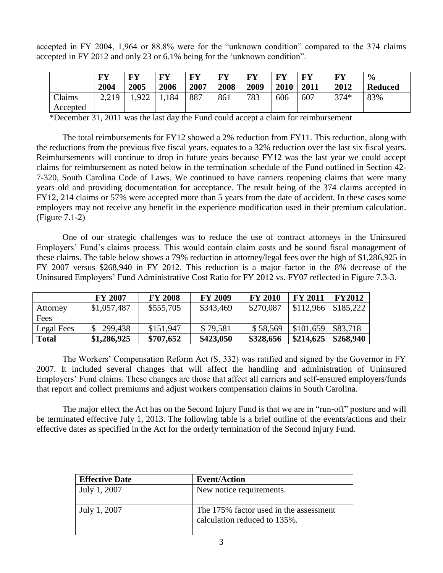accepted in FY 2004, 1,964 or 88.8% were for the "unknown condition" compared to the 374 claims accepted in FY 2012 and only 23 or 6.1% being for the 'unknown condition".

|          | <b>FY</b> | $\mathbf{F}\mathbf{V}$ | FY    | <b>FY</b> | FV   | FУ   | <b>FY</b> | + FY | FY     | $\frac{0}{0}$  |
|----------|-----------|------------------------|-------|-----------|------|------|-----------|------|--------|----------------|
|          | 2004      | 2005                   | 2006  | 2007      | 2008 | 2009 | 2010      | 2011 | 2012   | <b>Reduced</b> |
| Claims   | 2.219     | .922                   | 1,184 | 887       | 861  | 783  | 606       | 607  | $374*$ | 83%            |
| Accepted |           |                        |       |           |      |      |           |      |        |                |

\*December 31, 2011 was the last day the Fund could accept a claim for reimbursement

The total reimbursements for FY12 showed a 2% reduction from FY11. This reduction, along with the reductions from the previous five fiscal years, equates to a 32% reduction over the last six fiscal years. Reimbursements will continue to drop in future years because FY12 was the last year we could accept claims for reimbursement as noted below in the termination schedule of the Fund outlined in Section 42- 7-320, South Carolina Code of Laws. We continued to have carriers reopening claims that were many years old and providing documentation for acceptance. The result being of the 374 claims accepted in FY12, 214 claims or 57% were accepted more than 5 years from the date of accident. In these cases some employers may not receive any benefit in the experience modification used in their premium calculation. (Figure 7.1-2)

One of our strategic challenges was to reduce the use of contract attorneys in the Uninsured Employers' Fund's claims process. This would contain claim costs and be sound fiscal management of these claims. The table below shows a 79% reduction in attorney/legal fees over the high of \$1,286,925 in FY 2007 versus \$268,940 in FY 2012. This reduction is a major factor in the 8% decrease of the Uninsured Employers' Fund Administrative Cost Ratio for FY 2012 vs. FY07 reflected in Figure 7.3-3.

|              | <b>FY 2007</b> | <b>FY 2008</b> | <b>FY 2009</b> | <b>FY 2010</b> | <b>FY 2011</b>           | <b>FY2012</b> |
|--------------|----------------|----------------|----------------|----------------|--------------------------|---------------|
| Attorney     | \$1,057,487    | \$555,705      | \$343,469      | \$270,087      | $$112,966 \mid $185,222$ |               |
| Fees         |                |                |                |                |                          |               |
| Legal Fees   | 299,438        | \$151,947      | \$79,581       | \$58,569       | \$101,659                | \$83,718      |
| <b>Total</b> | \$1,286,925    | \$707,652      | \$423,050      | \$328,656      | \$214,625                | \$268,940     |

The Workers' Compensation Reform Act (S. 332) was ratified and signed by the Governor in FY 2007. It included several changes that will affect the handling and administration of Uninsured Employers' Fund claims. These changes are those that affect all carriers and self-ensured employers/funds that report and collect premiums and adjust workers compensation claims in South Carolina.

The major effect the Act has on the Second Injury Fund is that we are in "run-off" posture and will be terminated effective July 1, 2013. The following table is a brief outline of the events/actions and their effective dates as specified in the Act for the orderly termination of the Second Injury Fund.

| <b>Effective Date</b> | <b>Event/Action</b>                                                    |
|-----------------------|------------------------------------------------------------------------|
| July 1, 2007          | New notice requirements.                                               |
| July 1, 2007          | The 175% factor used in the assessment<br>calculation reduced to 135%. |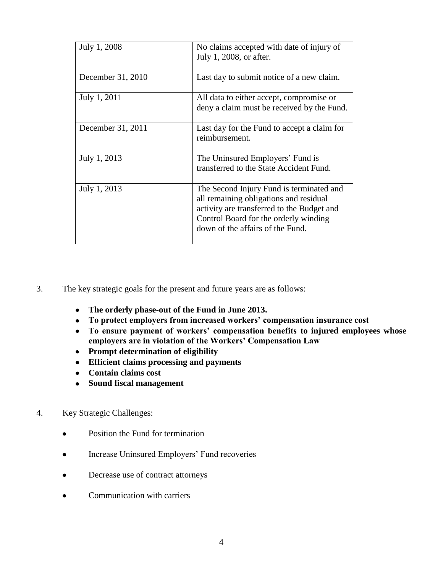| July 1, 2008      | No claims accepted with date of injury of<br>July 1, 2008, or after.                                                                                                                                          |
|-------------------|---------------------------------------------------------------------------------------------------------------------------------------------------------------------------------------------------------------|
| December 31, 2010 | Last day to submit notice of a new claim.                                                                                                                                                                     |
| July 1, 2011      | All data to either accept, compromise or<br>deny a claim must be received by the Fund.                                                                                                                        |
| December 31, 2011 | Last day for the Fund to accept a claim for<br>reimbursement.                                                                                                                                                 |
| July 1, 2013      | The Uninsured Employers' Fund is<br>transferred to the State Accident Fund.                                                                                                                                   |
| July 1, 2013      | The Second Injury Fund is terminated and<br>all remaining obligations and residual<br>activity are transferred to the Budget and<br>Control Board for the orderly winding<br>down of the affairs of the Fund. |

- 3. The key strategic goals for the present and future years are as follows:
	- **The orderly phase-out of the Fund in June 2013.**
	- **To protect employers from increased workers' compensation insurance cost**
	- **To ensure payment of workers' compensation benefits to injured employees whose employers are in violation of the Workers' Compensation Law**
	- **Prompt determination of eligibility**
	- **Efficient claims processing and payments**
	- **Contain claims cost**
	- **Sound fiscal management**
- 4. Key Strategic Challenges:
	- Position the Fund for termination  $\bullet$
	- Increase Uninsured Employers' Fund recoveries  $\bullet$
	- Decrease use of contract attorneys  $\bullet$
	- Communication with carriers $\bullet$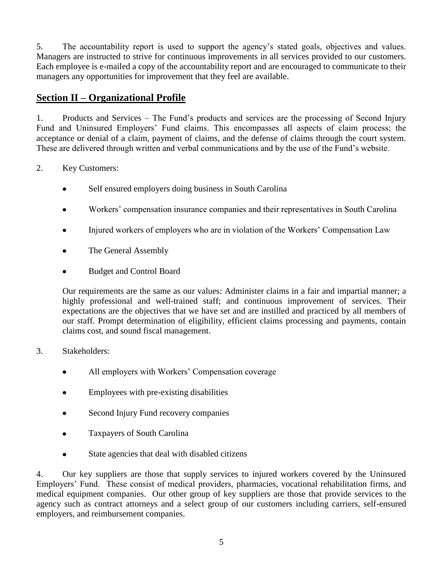5. The accountability report is used to support the agency's stated goals, objectives and values. Managers are instructed to strive for continuous improvements in all services provided to our customers. Each employee is e-mailed a copy of the accountability report and are encouraged to communicate to their managers any opportunities for improvement that they feel are available.

# **Section II – Organizational Profile**

1. Products and Services – The Fund's products and services are the processing of Second Injury Fund and Uninsured Employers' Fund claims. This encompasses all aspects of claim process; the acceptance or denial of a claim, payment of claims, and the defense of claims through the court system. These are delivered through written and verbal communications and by the use of the Fund's website.

- 2. Key Customers:
	- Self ensured employers doing business in South Carolina  $\bullet$
	- Workers' compensation insurance companies and their representatives in South Carolina
	- Injured workers of employers who are in violation of the Workers' Compensation Law
	- The General Assembly
	- Budget and Control Board

Our requirements are the same as our values: Administer claims in a fair and impartial manner; a highly professional and well-trained staff; and continuous improvement of services. Their expectations are the objectives that we have set and are instilled and practiced by all members of our staff. Prompt determination of eligibility, efficient claims processing and payments, contain claims cost, and sound fiscal management.

- 3. Stakeholders:
	- All employers with Workers' Compensation coverage  $\bullet$
	- Employees with pre-existing disabilities
	- Second Injury Fund recovery companies
	- Taxpayers of South Carolina  $\bullet$
	- State agencies that deal with disabled citizens

4. Our key suppliers are those that supply services to injured workers covered by the Uninsured Employers' Fund. These consist of medical providers, pharmacies, vocational rehabilitation firms, and medical equipment companies. Our other group of key suppliers are those that provide services to the agency such as contract attorneys and a select group of our customers including carriers, self-ensured employers, and reimbursement companies.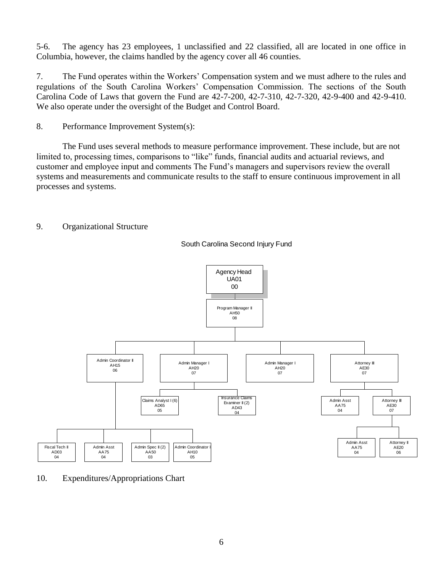5-6. The agency has 23 employees, 1 unclassified and 22 classified, all are located in one office in Columbia, however, the claims handled by the agency cover all 46 counties.

7. The Fund operates within the Workers' Compensation system and we must adhere to the rules and regulations of the South Carolina Workers' Compensation Commission. The sections of the South Carolina Code of Laws that govern the Fund are 42-7-200, 42-7-310, 42-7-320, 42-9-400 and 42-9-410. We also operate under the oversight of the Budget and Control Board.

8. Performance Improvement System(s):

The Fund uses several methods to measure performance improvement. These include, but are not limited to, processing times, comparisons to "like" funds, financial audits and actuarial reviews, and customer and employee input and comments The Fund's managers and supervisors review the overall systems and measurements and communicate results to the staff to ensure continuous improvement in all processes and systems.

9. Organizational Structure

South Carolina Second Injury Fund



10. Expenditures/Appropriations Chart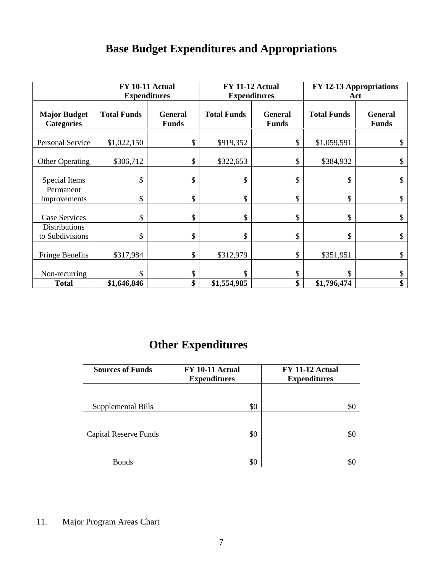# **Base Budget Expenditures and Appropriations**

|                                          | <b>FY 10-11 Actual</b> |                                | <b>FY 11-12 Actual</b> |                                | FY 12-13 Appropriations |                                |
|------------------------------------------|------------------------|--------------------------------|------------------------|--------------------------------|-------------------------|--------------------------------|
|                                          | <b>Expenditures</b>    |                                | <b>Expenditures</b>    |                                | Act                     |                                |
| <b>Major Budget</b><br><b>Categories</b> | <b>Total Funds</b>     | <b>General</b><br><b>Funds</b> | <b>Total Funds</b>     | <b>General</b><br><b>Funds</b> | <b>Total Funds</b>      | <b>General</b><br><b>Funds</b> |
| <b>Personal Service</b>                  | \$1,022,150            | \$                             | \$919,352              | \$                             | \$1,059,591             |                                |
| <b>Other Operating</b>                   | \$306,712              | \$                             | \$322,653              | \$                             | \$384,932               | \$                             |
| Special Items                            | \$                     | \$                             | \$                     | \$                             | \$                      | \$                             |
| Permanent<br>Improvements                | \$                     | \$                             | \$                     | \$                             | \$                      | \$                             |
| <b>Case Services</b>                     | \$                     | \$                             | \$                     | \$                             | \$                      | \$                             |
| <b>Distributions</b><br>to Subdivisions  | \$                     | \$                             | \$                     | \$                             | \$                      | \$                             |
| <b>Fringe Benefits</b>                   | \$317,984              | \$                             | \$312,979              | \$                             | \$351,951               | \$                             |
| Non-recurring                            | \$                     | \$                             | \$                     | \$                             |                         | \$                             |
| <b>Total</b>                             | \$1,646,846            | \$                             | \$1,554,985            | \$                             | \$1,796,474             | \$                             |

# **Other Expenditures**

| <b>Sources of Funds</b>      | FY 10-11 Actual<br><b>Expenditures</b> | FY 11-12 Actual<br><b>Expenditures</b> |
|------------------------------|----------------------------------------|----------------------------------------|
|                              |                                        |                                        |
| Supplemental Bills           | \$0                                    | \$0                                    |
|                              |                                        |                                        |
| <b>Capital Reserve Funds</b> | \$0                                    | \$0                                    |
|                              |                                        |                                        |
| <b>Bonds</b>                 | \$0                                    | 80                                     |

<sup>11.</sup> Major Program Areas Chart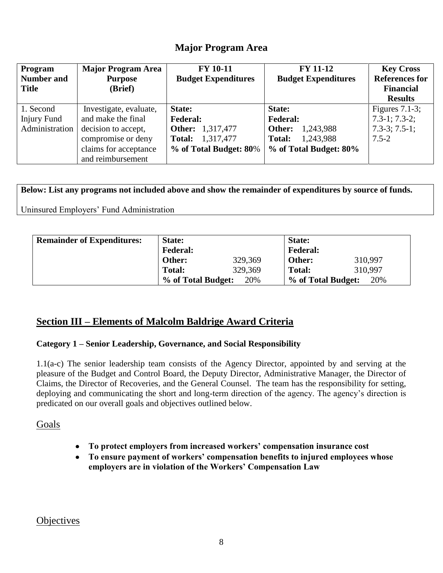# **Major Program Area**

| Program<br><b>Number and</b><br><b>Title</b> | <b>Major Program Area</b><br><b>Purpose</b><br>(Brief) | <b>FY 10-11</b><br><b>Budget Expenditures</b> | <b>FY 11-12</b><br><b>Budget Expenditures</b> | <b>Key Cross</b><br><b>References for</b><br><b>Financial</b><br><b>Results</b> |
|----------------------------------------------|--------------------------------------------------------|-----------------------------------------------|-----------------------------------------------|---------------------------------------------------------------------------------|
| 1. Second                                    | Investigate, evaluate,                                 | <b>State:</b>                                 | State:                                        | Figures $7.1-3$ ;                                                               |
| <b>Injury Fund</b>                           | and make the final                                     | <b>Federal:</b>                               | <b>Federal:</b>                               | $7.3-1$ ; $7.3-2$ ;                                                             |
| Administration                               | decision to accept,                                    | <b>Other:</b> 1,317,477                       | 1,243,988<br>Other:                           | $7.3-3; 7.5-1;$                                                                 |
|                                              | compromise or deny                                     | 1,317,477<br>Total:                           | 1,243,988<br>Total:                           | $7.5 - 2$                                                                       |
|                                              | claims for acceptance                                  | % of Total Budget: 80%                        | % of Total Budget: 80%                        |                                                                                 |
|                                              | and reimbursement                                      |                                               |                                               |                                                                                 |

**Below: List any programs not included above and show the remainder of expenditures by source of funds.**

Uninsured Employers' Fund Administration

| <b>Remainder of Expenditures:</b> | State:             |         | State:             |         |
|-----------------------------------|--------------------|---------|--------------------|---------|
|                                   | <b>Federal:</b>    |         | <b>Federal:</b>    |         |
|                                   | Other:             | 329,369 | Other:             | 310,997 |
|                                   | Total:             | 329,369 | <b>Total:</b>      | 310,997 |
|                                   | % of Total Budget: | 20%     | % of Total Budget: | 20%     |

# **Section III – Elements of Malcolm Baldrige Award Criteria**

### **Category 1 – Senior Leadership, Governance, and Social Responsibility**

1.1(a-c) The senior leadership team consists of the Agency Director, appointed by and serving at the pleasure of the Budget and Control Board, the Deputy Director, Administrative Manager, the Director of Claims, the Director of Recoveries, and the General Counsel. The team has the responsibility for setting, deploying and communicating the short and long-term direction of the agency. The agency's direction is predicated on our overall goals and objectives outlined below.

Goals

- **To protect employers from increased workers' compensation insurance cost**
- **To ensure payment of workers' compensation benefits to injured employees whose**   $\bullet$ **employers are in violation of the Workers' Compensation Law**

**Objectives**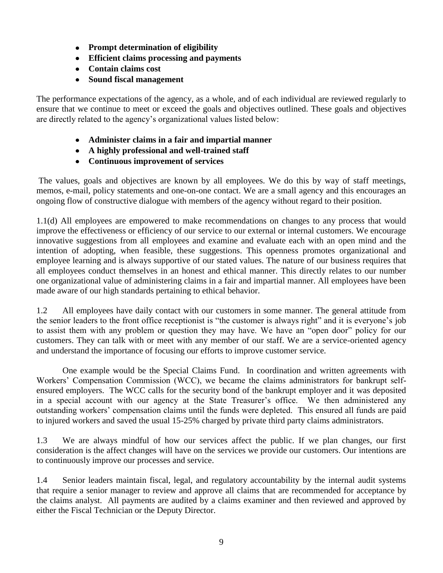- **Prompt determination of eligibility**
- **Efficient claims processing and payments**
- **Contain claims cost**
- **Sound fiscal management**

The performance expectations of the agency, as a whole, and of each individual are reviewed regularly to ensure that we continue to meet or exceed the goals and objectives outlined. These goals and objectives are directly related to the agency's organizational values listed below:

- **Administer claims in a fair and impartial manner**
- **A highly professional and well-trained staff**
- **Continuous improvement of services**

The values, goals and objectives are known by all employees. We do this by way of staff meetings, memos, e-mail, policy statements and one-on-one contact. We are a small agency and this encourages an ongoing flow of constructive dialogue with members of the agency without regard to their position.

1.1(d) All employees are empowered to make recommendations on changes to any process that would improve the effectiveness or efficiency of our service to our external or internal customers. We encourage innovative suggestions from all employees and examine and evaluate each with an open mind and the intention of adopting, when feasible, these suggestions. This openness promotes organizational and employee learning and is always supportive of our stated values. The nature of our business requires that all employees conduct themselves in an honest and ethical manner. This directly relates to our number one organizational value of administering claims in a fair and impartial manner. All employees have been made aware of our high standards pertaining to ethical behavior.

1.2 All employees have daily contact with our customers in some manner. The general attitude from the senior leaders to the front office receptionist is "the customer is always right" and it is everyone's job to assist them with any problem or question they may have. We have an "open door" policy for our customers. They can talk with or meet with any member of our staff. We are a service-oriented agency and understand the importance of focusing our efforts to improve customer service.

One example would be the Special Claims Fund. In coordination and written agreements with Workers' Compensation Commission (WCC), we became the claims administrators for bankrupt selfensured employers. The WCC calls for the security bond of the bankrupt employer and it was deposited in a special account with our agency at the State Treasurer's office. We then administered any outstanding workers' compensation claims until the funds were depleted. This ensured all funds are paid to injured workers and saved the usual 15-25% charged by private third party claims administrators.

1.3 We are always mindful of how our services affect the public. If we plan changes, our first consideration is the affect changes will have on the services we provide our customers. Our intentions are to continuously improve our processes and service.

1.4 Senior leaders maintain fiscal, legal, and regulatory accountability by the internal audit systems that require a senior manager to review and approve all claims that are recommended for acceptance by the claims analyst. All payments are audited by a claims examiner and then reviewed and approved by either the Fiscal Technician or the Deputy Director.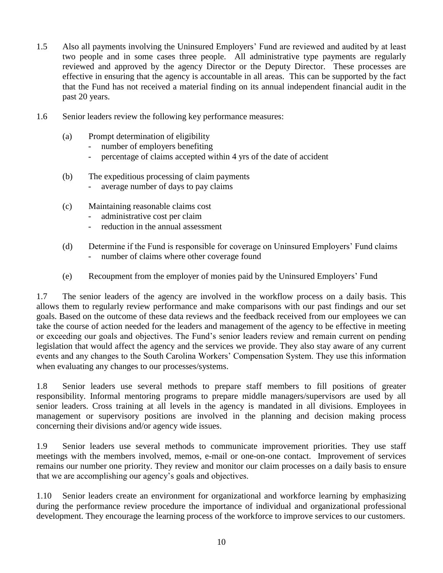- 1.5 Also all payments involving the Uninsured Employers' Fund are reviewed and audited by at least two people and in some cases three people. All administrative type payments are regularly reviewed and approved by the agency Director or the Deputy Director. These processes are effective in ensuring that the agency is accountable in all areas. This can be supported by the fact that the Fund has not received a material finding on its annual independent financial audit in the past 20 years.
- 1.6 Senior leaders review the following key performance measures:
	- (a) Prompt determination of eligibility
		- number of employers benefiting
		- percentage of claims accepted within 4 yrs of the date of accident
	- (b) The expeditious processing of claim payments
		- average number of days to pay claims
	- (c) Maintaining reasonable claims cost
		- administrative cost per claim
		- reduction in the annual assessment
	- (d) Determine if the Fund is responsible for coverage on Uninsured Employers' Fund claims - number of claims where other coverage found
	- (e) Recoupment from the employer of monies paid by the Uninsured Employers' Fund

1.7 The senior leaders of the agency are involved in the workflow process on a daily basis. This allows them to regularly review performance and make comparisons with our past findings and our set goals. Based on the outcome of these data reviews and the feedback received from our employees we can take the course of action needed for the leaders and management of the agency to be effective in meeting or exceeding our goals and objectives. The Fund's senior leaders review and remain current on pending legislation that would affect the agency and the services we provide. They also stay aware of any current events and any changes to the South Carolina Workers' Compensation System. They use this information when evaluating any changes to our processes/systems.

1.8 Senior leaders use several methods to prepare staff members to fill positions of greater responsibility. Informal mentoring programs to prepare middle managers/supervisors are used by all senior leaders. Cross training at all levels in the agency is mandated in all divisions. Employees in management or supervisory positions are involved in the planning and decision making process concerning their divisions and/or agency wide issues.

1.9 Senior leaders use several methods to communicate improvement priorities. They use staff meetings with the members involved, memos, e-mail or one-on-one contact. Improvement of services remains our number one priority. They review and monitor our claim processes on a daily basis to ensure that we are accomplishing our agency's goals and objectives.

1.10 Senior leaders create an environment for organizational and workforce learning by emphasizing during the performance review procedure the importance of individual and organizational professional development. They encourage the learning process of the workforce to improve services to our customers.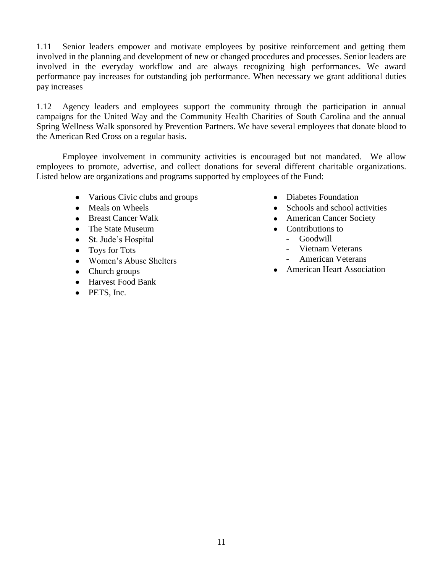1.11 Senior leaders empower and motivate employees by positive reinforcement and getting them involved in the planning and development of new or changed procedures and processes. Senior leaders are involved in the everyday workflow and are always recognizing high performances. We award performance pay increases for outstanding job performance. When necessary we grant additional duties pay increases

1.12 Agency leaders and employees support the community through the participation in annual campaigns for the United Way and the Community Health Charities of South Carolina and the annual Spring Wellness Walk sponsored by Prevention Partners. We have several employees that donate blood to the American Red Cross on a regular basis.

Employee involvement in community activities is encouraged but not mandated. We allow employees to promote, advertise, and collect donations for several different charitable organizations. Listed below are organizations and programs supported by employees of the Fund:

- Various Civic clubs and groups
- Meals on Wheels
- Breast Cancer Walk
- The State Museum
- St. Jude's Hospital
- Toys for Tots
- Women's Abuse Shelters
- Church groups
- Harvest Food Bank
- PETS, Inc.
- Diabetes Foundation
- Schools and school activities
- American Cancer Society
- Contributions to
	- Goodwill
	- Vietnam Veterans
	- American Veterans
- American Heart Association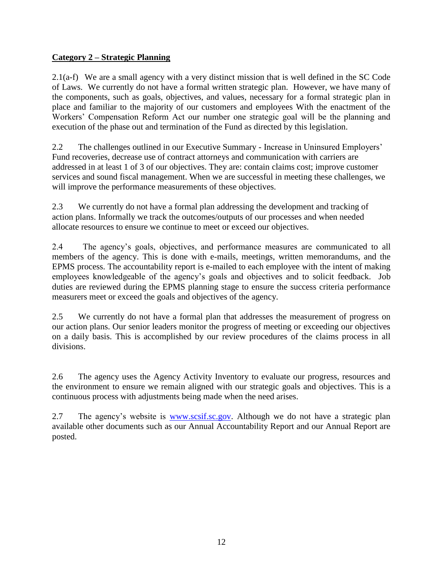## **Category 2 – Strategic Planning**

2.1(a-f) We are a small agency with a very distinct mission that is well defined in the SC Code of Laws. We currently do not have a formal written strategic plan. However, we have many of the components, such as goals, objectives, and values, necessary for a formal strategic plan in place and familiar to the majority of our customers and employees With the enactment of the Workers' Compensation Reform Act our number one strategic goal will be the planning and execution of the phase out and termination of the Fund as directed by this legislation.

2.2 The challenges outlined in our Executive Summary - Increase in Uninsured Employers' Fund recoveries, decrease use of contract attorneys and communication with carriers are addressed in at least 1 of 3 of our objectives. They are: contain claims cost; improve customer services and sound fiscal management. When we are successful in meeting these challenges, we will improve the performance measurements of these objectives.

2.3 We currently do not have a formal plan addressing the development and tracking of action plans. Informally we track the outcomes/outputs of our processes and when needed allocate resources to ensure we continue to meet or exceed our objectives.

2.4 The agency's goals, objectives, and performance measures are communicated to all members of the agency. This is done with e-mails, meetings, written memorandums, and the EPMS process. The accountability report is e-mailed to each employee with the intent of making employees knowledgeable of the agency's goals and objectives and to solicit feedback. Job duties are reviewed during the EPMS planning stage to ensure the success criteria performance measurers meet or exceed the goals and objectives of the agency.

2.5 We currently do not have a formal plan that addresses the measurement of progress on our action plans. Our senior leaders monitor the progress of meeting or exceeding our objectives on a daily basis. This is accomplished by our review procedures of the claims process in all divisions.

2.6 The agency uses the Agency Activity Inventory to evaluate our progress, resources and the environment to ensure we remain aligned with our strategic goals and objectives. This is a continuous process with adjustments being made when the need arises.

2.7 The agency's website is [www.scsif.sc.gov.](http://www.scsif.sc.gov/) Although we do not have a strategic plan available other documents such as our Annual Accountability Report and our Annual Report are posted.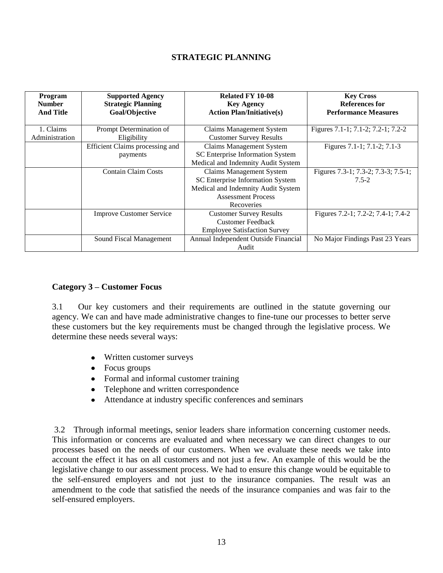#### **STRATEGIC PLANNING**

| <b>Program</b><br><b>Number</b><br><b>And Title</b> | <b>Supported Agency</b><br><b>Strategic Planning</b><br>Goal/Objective | <b>Related FY 10-08</b><br><b>Key Agency</b><br><b>Action Plan/Initiative(s)</b>                                                                     | <b>Key Cross</b><br>References for<br><b>Performance Measures</b> |
|-----------------------------------------------------|------------------------------------------------------------------------|------------------------------------------------------------------------------------------------------------------------------------------------------|-------------------------------------------------------------------|
| 1. Claims<br>Administration                         | Prompt Determination of<br>Eligibility                                 | <b>Claims Management System</b><br><b>Customer Survey Results</b>                                                                                    | Figures 7.1-1; 7.1-2; 7.2-1; 7.2-2                                |
|                                                     | Efficient Claims processing and<br>payments                            | <b>Claims Management System</b><br>SC Enterprise Information System<br>Medical and Indemnity Audit System                                            | Figures 7.1-1; 7.1-2; 7.1-3                                       |
|                                                     | <b>Contain Claim Costs</b>                                             | <b>Claims Management System</b><br>SC Enterprise Information System<br>Medical and Indemnity Audit System<br><b>Assessment Process</b><br>Recoveries | Figures 7.3-1; 7.3-2; 7.3-3; 7.5-1;<br>$7.5 - 2$                  |
|                                                     | <b>Improve Customer Service</b>                                        | <b>Customer Survey Results</b><br><b>Customer Feedback</b><br><b>Employee Satisfaction Survey</b>                                                    | Figures 7.2-1; 7.2-2; 7.4-1; 7.4-2                                |
|                                                     | Sound Fiscal Management                                                | Annual Independent Outside Financial<br>Audit                                                                                                        | No Major Findings Past 23 Years                                   |

#### **Category 3 – Customer Focus**

3.1 Our key customers and their requirements are outlined in the statute governing our agency. We can and have made administrative changes to fine-tune our processes to better serve these customers but the key requirements must be changed through the legislative process. We determine these needs several ways:

- Written customer surveys
- Focus groups
- Formal and informal customer training
- Telephone and written correspondence
- Attendance at industry specific conferences and seminars

3.2 Through informal meetings, senior leaders share information concerning customer needs. This information or concerns are evaluated and when necessary we can direct changes to our processes based on the needs of our customers. When we evaluate these needs we take into account the effect it has on all customers and not just a few. An example of this would be the legislative change to our assessment process. We had to ensure this change would be equitable to the self-ensured employers and not just to the insurance companies. The result was an amendment to the code that satisfied the needs of the insurance companies and was fair to the self-ensured employers.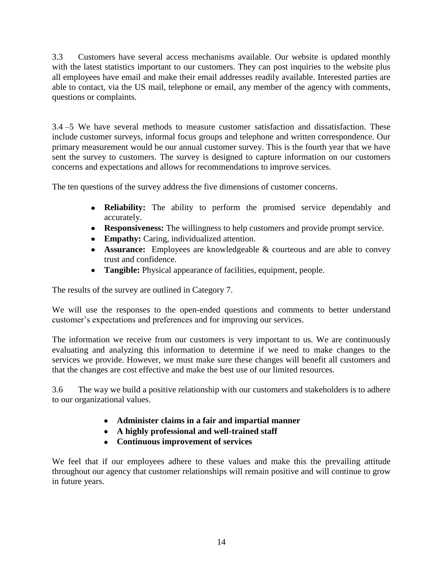3.3 Customers have several access mechanisms available. Our website is updated monthly with the latest statistics important to our customers. They can post inquiries to the website plus all employees have email and make their email addresses readily available. Interested parties are able to contact, via the US mail, telephone or email, any member of the agency with comments, questions or complaints.

3.4 –5 We have several methods to measure customer satisfaction and dissatisfaction. These include customer surveys, informal focus groups and telephone and written correspondence. Our primary measurement would be our annual customer survey. This is the fourth year that we have sent the survey to customers. The survey is designed to capture information on our customers concerns and expectations and allows for recommendations to improve services.

The ten questions of the survey address the five dimensions of customer concerns.

- **Reliability:** The ability to perform the promised service dependably and accurately.
- **Responsiveness:** The willingness to help customers and provide prompt service.
- **Empathy:** Caring, individualized attention.
- **Assurance:** Employees are knowledgeable & courteous and are able to convey trust and confidence.
- **Tangible:** Physical appearance of facilities, equipment, people.

The results of the survey are outlined in Category 7.

We will use the responses to the open-ended questions and comments to better understand customer's expectations and preferences and for improving our services.

The information we receive from our customers is very important to us. We are continuously evaluating and analyzing this information to determine if we need to make changes to the services we provide. However, we must make sure these changes will benefit all customers and that the changes are cost effective and make the best use of our limited resources.

3.6 The way we build a positive relationship with our customers and stakeholders is to adhere to our organizational values.

- **Administer claims in a fair and impartial manner**
- **A highly professional and well-trained staff**
- **Continuous improvement of services**

We feel that if our employees adhere to these values and make this the prevailing attitude throughout our agency that customer relationships will remain positive and will continue to grow in future years.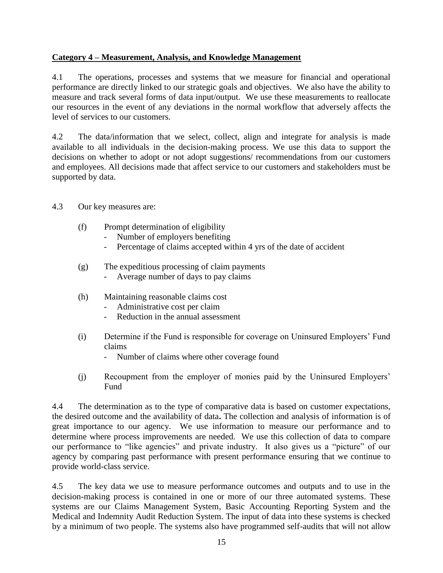### **Category 4 – Measurement, Analysis, and Knowledge Management**

4.1 The operations, processes and systems that we measure for financial and operational performance are directly linked to our strategic goals and objectives. We also have the ability to measure and track several forms of data input/output. We use these measurements to reallocate our resources in the event of any deviations in the normal workflow that adversely affects the level of services to our customers.

4.2 The data/information that we select, collect, align and integrate for analysis is made available to all individuals in the decision-making process. We use this data to support the decisions on whether to adopt or not adopt suggestions/ recommendations from our customers and employees. All decisions made that affect service to our customers and stakeholders must be supported by data.

- 4.3 Our key measures are:
	- (f) Prompt determination of eligibility
		- Number of employers benefiting
		- Percentage of claims accepted within 4 yrs of the date of accident
	- (g) The expeditious processing of claim payments
		- Average number of days to pay claims
	- (h) Maintaining reasonable claims cost
		- Administrative cost per claim
		- Reduction in the annual assessment
	- (i) Determine if the Fund is responsible for coverage on Uninsured Employers' Fund claims
		- Number of claims where other coverage found
	- (j) Recoupment from the employer of monies paid by the Uninsured Employers' Fund

4.4 The determination as to the type of comparative data is based on customer expectations, the desired outcome and the availability of data**.** The collection and analysis of information is of great importance to our agency. We use information to measure our performance and to determine where process improvements are needed. We use this collection of data to compare our performance to "like agencies" and private industry. It also gives us a "picture" of our agency by comparing past performance with present performance ensuring that we continue to provide world-class service.

4.5 The key data we use to measure performance outcomes and outputs and to use in the decision-making process is contained in one or more of our three automated systems. These systems are our Claims Management System, Basic Accounting Reporting System and the Medical and Indemnity Audit Reduction System. The input of data into these systems is checked by a minimum of two people. The systems also have programmed self-audits that will not allow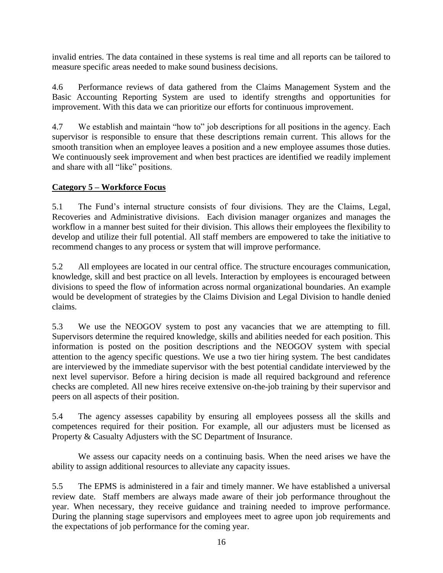invalid entries. The data contained in these systems is real time and all reports can be tailored to measure specific areas needed to make sound business decisions.

4.6 Performance reviews of data gathered from the Claims Management System and the Basic Accounting Reporting System are used to identify strengths and opportunities for improvement. With this data we can prioritize our efforts for continuous improvement.

4.7 We establish and maintain "how to" job descriptions for all positions in the agency. Each supervisor is responsible to ensure that these descriptions remain current. This allows for the smooth transition when an employee leaves a position and a new employee assumes those duties. We continuously seek improvement and when best practices are identified we readily implement and share with all "like" positions.

## **Category 5 – Workforce Focus**

5.1 The Fund's internal structure consists of four divisions. They are the Claims, Legal, Recoveries and Administrative divisions. Each division manager organizes and manages the workflow in a manner best suited for their division. This allows their employees the flexibility to develop and utilize their full potential. All staff members are empowered to take the initiative to recommend changes to any process or system that will improve performance.

5.2 All employees are located in our central office. The structure encourages communication, knowledge, skill and best practice on all levels. Interaction by employees is encouraged between divisions to speed the flow of information across normal organizational boundaries. An example would be development of strategies by the Claims Division and Legal Division to handle denied claims.

5.3 We use the NEOGOV system to post any vacancies that we are attempting to fill. Supervisors determine the required knowledge, skills and abilities needed for each position. This information is posted on the position descriptions and the NEOGOV system with special attention to the agency specific questions. We use a two tier hiring system. The best candidates are interviewed by the immediate supervisor with the best potential candidate interviewed by the next level supervisor. Before a hiring decision is made all required background and reference checks are completed. All new hires receive extensive on-the-job training by their supervisor and peers on all aspects of their position.

5.4 The agency assesses capability by ensuring all employees possess all the skills and competences required for their position. For example, all our adjusters must be licensed as Property & Casualty Adjusters with the SC Department of Insurance.

We assess our capacity needs on a continuing basis. When the need arises we have the ability to assign additional resources to alleviate any capacity issues.

5.5 The EPMS is administered in a fair and timely manner. We have established a universal review date. Staff members are always made aware of their job performance throughout the year. When necessary, they receive guidance and training needed to improve performance. During the planning stage supervisors and employees meet to agree upon job requirements and the expectations of job performance for the coming year.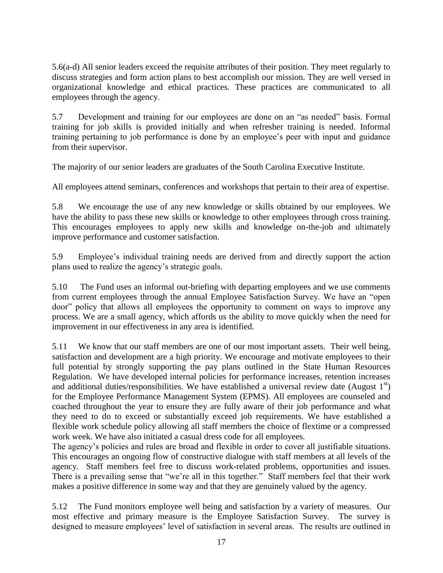5.6(a-d) All senior leaders exceed the requisite attributes of their position. They meet regularly to discuss strategies and form action plans to best accomplish our mission. They are well versed in organizational knowledge and ethical practices. These practices are communicated to all employees through the agency.

5.7 Development and training for our employees are done on an "as needed" basis. Formal training for job skills is provided initially and when refresher training is needed. Informal training pertaining to job performance is done by an employee's peer with input and guidance from their supervisor.

The majority of our senior leaders are graduates of the South Carolina Executive Institute.

All employees attend seminars, conferences and workshops that pertain to their area of expertise.

5.8 We encourage the use of any new knowledge or skills obtained by our employees. We have the ability to pass these new skills or knowledge to other employees through cross training. This encourages employees to apply new skills and knowledge on-the-job and ultimately improve performance and customer satisfaction.

5.9 Employee's individual training needs are derived from and directly support the action plans used to realize the agency's strategic goals.

5.10 The Fund uses an informal out-briefing with departing employees and we use comments from current employees through the annual Employee Satisfaction Survey. We have an "open door" policy that allows all employees the opportunity to comment on ways to improve any process. We are a small agency, which affords us the ability to move quickly when the need for improvement in our effectiveness in any area is identified.

5.11 We know that our staff members are one of our most important assets. Their well being, satisfaction and development are a high priority. We encourage and motivate employees to their full potential by strongly supporting the pay plans outlined in the State Human Resources Regulation. We have developed internal policies for performance increases, retention increases and additional duties/responsibilities. We have established a universal review date (August  $1<sup>st</sup>$ ) for the Employee Performance Management System (EPMS). All employees are counseled and coached throughout the year to ensure they are fully aware of their job performance and what they need to do to exceed or substantially exceed job requirements. We have established a flexible work schedule policy allowing all staff members the choice of flextime or a compressed work week. We have also initiated a casual dress code for all employees.

The agency's policies and rules are broad and flexible in order to cover all justifiable situations. This encourages an ongoing flow of constructive dialogue with staff members at all levels of the agency. Staff members feel free to discuss work-related problems, opportunities and issues. There is a prevailing sense that "we're all in this together." Staff members feel that their work makes a positive difference in some way and that they are genuinely valued by the agency.

5.12 The Fund monitors employee well being and satisfaction by a variety of measures. Our most effective and primary measure is the Employee Satisfaction Survey. The survey is designed to measure employees' level of satisfaction in several areas. The results are outlined in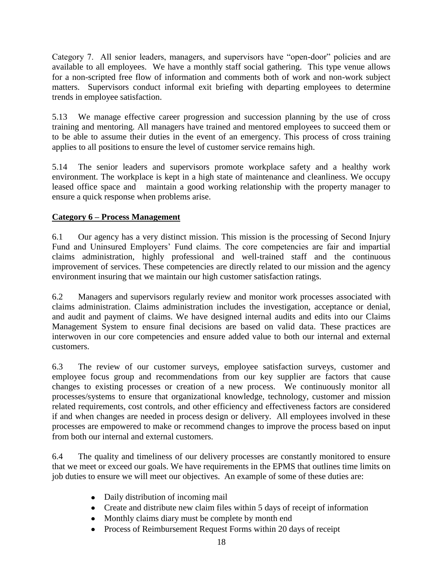Category 7. All senior leaders, managers, and supervisors have "open-door" policies and are available to all employees. We have a monthly staff social gathering. This type venue allows for a non-scripted free flow of information and comments both of work and non-work subject matters. Supervisors conduct informal exit briefing with departing employees to determine trends in employee satisfaction.

5.13 We manage effective career progression and succession planning by the use of cross training and mentoring. All managers have trained and mentored employees to succeed them or to be able to assume their duties in the event of an emergency. This process of cross training applies to all positions to ensure the level of customer service remains high.

5.14 The senior leaders and supervisors promote workplace safety and a healthy work environment. The workplace is kept in a high state of maintenance and cleanliness. We occupy leased office space and maintain a good working relationship with the property manager to ensure a quick response when problems arise.

## **Category 6 – Process Management**

6.1 Our agency has a very distinct mission. This mission is the processing of Second Injury Fund and Uninsured Employers' Fund claims. The core competencies are fair and impartial claims administration, highly professional and well-trained staff and the continuous improvement of services. These competencies are directly related to our mission and the agency environment insuring that we maintain our high customer satisfaction ratings.

6.2 Managers and supervisors regularly review and monitor work processes associated with claims administration. Claims administration includes the investigation, acceptance or denial, and audit and payment of claims. We have designed internal audits and edits into our Claims Management System to ensure final decisions are based on valid data. These practices are interwoven in our core competencies and ensure added value to both our internal and external customers.

6.3 The review of our customer surveys, employee satisfaction surveys, customer and employee focus group and recommendations from our key supplier are factors that cause changes to existing processes or creation of a new process. We continuously monitor all processes/systems to ensure that organizational knowledge, technology, customer and mission related requirements, cost controls, and other efficiency and effectiveness factors are considered if and when changes are needed in process design or delivery. All employees involved in these processes are empowered to make or recommend changes to improve the process based on input from both our internal and external customers.

6.4 The quality and timeliness of our delivery processes are constantly monitored to ensure that we meet or exceed our goals. We have requirements in the EPMS that outlines time limits on job duties to ensure we will meet our objectives. An example of some of these duties are:

- Daily distribution of incoming mail
- Create and distribute new claim files within 5 days of receipt of information
- Monthly claims diary must be complete by month end
- Process of Reimbursement Request Forms within 20 days of receipt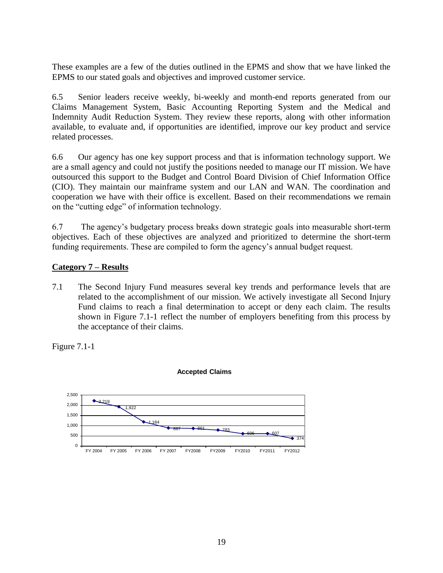These examples are a few of the duties outlined in the EPMS and show that we have linked the EPMS to our stated goals and objectives and improved customer service.

6.5 Senior leaders receive weekly, bi-weekly and month-end reports generated from our Claims Management System, Basic Accounting Reporting System and the Medical and Indemnity Audit Reduction System. They review these reports, along with other information available, to evaluate and, if opportunities are identified, improve our key product and service related processes.

6.6 Our agency has one key support process and that is information technology support. We are a small agency and could not justify the positions needed to manage our IT mission. We have outsourced this support to the Budget and Control Board Division of Chief Information Office (CIO). They maintain our mainframe system and our LAN and WAN. The coordination and cooperation we have with their office is excellent. Based on their recommendations we remain on the "cutting edge" of information technology.

6.7 The agency's budgetary process breaks down strategic goals into measurable short-term objectives. Each of these objectives are analyzed and prioritized to determine the short-term funding requirements. These are compiled to form the agency's annual budget request.

### **Category 7 – Results**

7.1 The Second Injury Fund measures several key trends and performance levels that are related to the accomplishment of our mission. We actively investigate all Second Injury Fund claims to reach a final determination to accept or deny each claim. The results shown in Figure 7.1-1 reflect the number of employers benefiting from this process by the acceptance of their claims.

Figure 7.1-1



#### **Accepted Claims**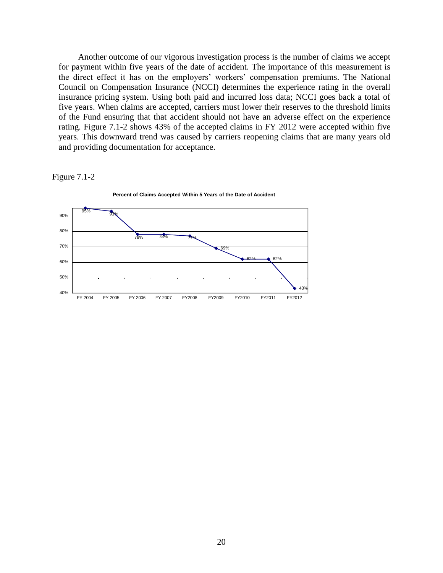Another outcome of our vigorous investigation process is the number of claims we accept for payment within five years of the date of accident. The importance of this measurement is the direct effect it has on the employers' workers' compensation premiums. The National Council on Compensation Insurance (NCCI) determines the experience rating in the overall insurance pricing system. Using both paid and incurred loss data; NCCI goes back a total of five years. When claims are accepted, carriers must lower their reserves to the threshold limits of the Fund ensuring that that accident should not have an adverse effect on the experience rating. Figure 7.1-2 shows 43% of the accepted claims in FY 2012 were accepted within five years. This downward trend was caused by carriers reopening claims that are many years old and providing documentation for acceptance.

#### Figure 7.1-2

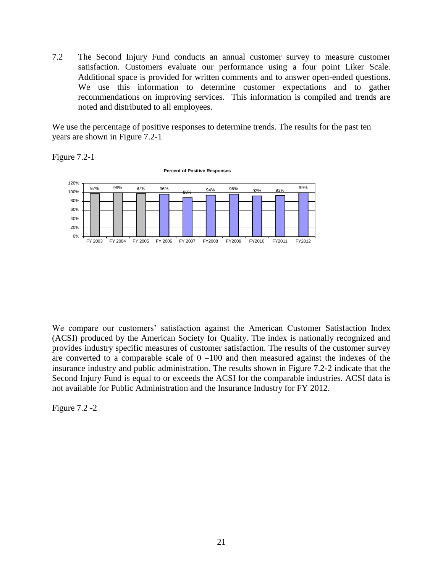7.2 The Second Injury Fund conducts an annual customer survey to measure customer satisfaction. Customers evaluate our performance using a four point Liker Scale. Additional space is provided for written comments and to answer open-ended questions. We use this information to determine customer expectations and to gather recommendations on improving services. This information is compiled and trends are noted and distributed to all employees.

We use the percentage of positive responses to determine trends. The results for the past ten years are shown in Figure 7.2-1

Figure 7.2-1



We compare our customers' satisfaction against the American Customer Satisfaction Index (ACSI) produced by the American Society for Quality. The index is nationally recognized and provides industry specific measures of customer satisfaction. The results of the customer survey are converted to a comparable scale of  $0 -100$  and then measured against the indexes of the insurance industry and public administration. The results shown in Figure 7.2-2 indicate that the Second Injury Fund is equal to or exceeds the ACSI for the comparable industries. ACSI data is not available for Public Administration and the Insurance Industry for FY 2012.

Figure 7.2 -2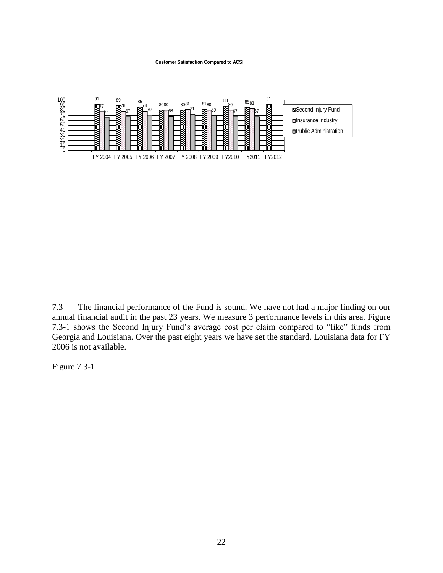#### **Customer Satisfaction Compared to ACSI**



7.3 The financial performance of the Fund is sound. We have not had a major finding on our annual financial audit in the past 23 years. We measure 3 performance levels in this area. Figure 7.3-1 shows the Second Injury Fund's average cost per claim compared to "like" funds from Georgia and Louisiana. Over the past eight years we have set the standard. Louisiana data for FY 2006 is not available.

Figure 7.3-1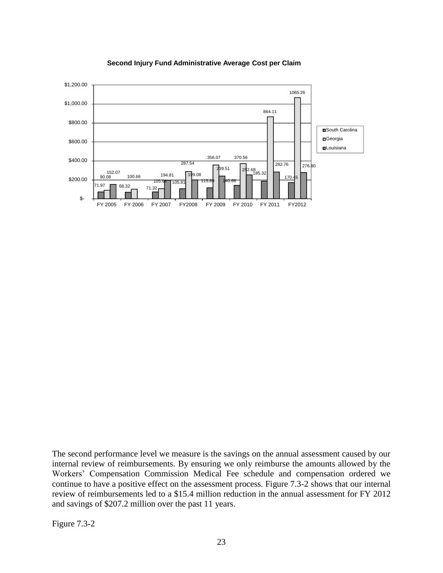

#### **Second Injury Fund Administrative Average Cost per Claim**

The second performance level we measure is the savings on the annual assessment caused by our internal review of reimbursements. By ensuring we only reimburse the amounts allowed by the Workers' Compensation Commission Medical Fee schedule and compensation ordered we continue to have a positive effect on the assessment process. Figure 7.3-2 shows that our internal review of reimbursements led to a \$15.4 million reduction in the annual assessment for FY 2012 and savings of \$207.2 million over the past 11 years.

Figure 7.3-2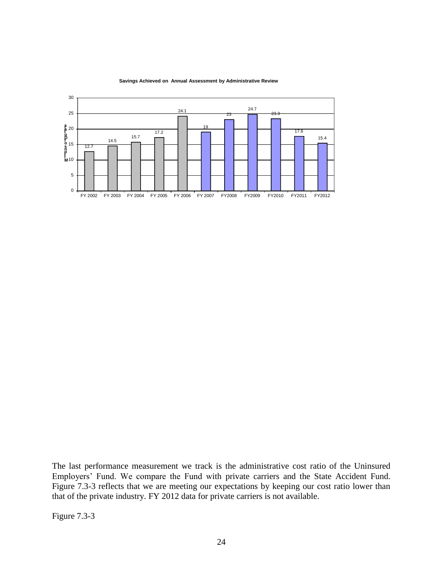

**Savings Achieved on Annual Assessment by Administrative Review**

The last performance measurement we track is the administrative cost ratio of the Uninsured Employers' Fund. We compare the Fund with private carriers and the State Accident Fund. Figure 7.3-3 reflects that we are meeting our expectations by keeping our cost ratio lower than that of the private industry. FY 2012 data for private carriers is not available.

Figure 7.3-3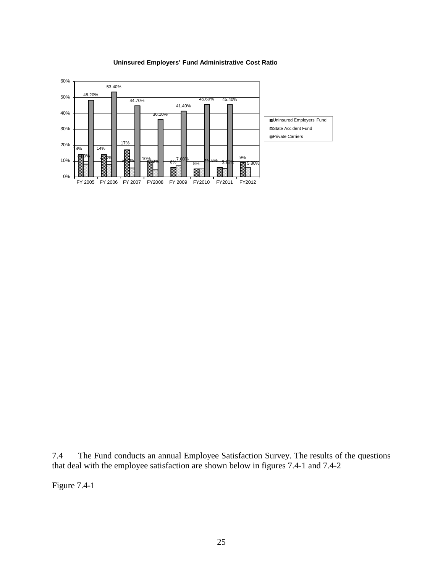

#### **Uninsured Employers' Fund Administrative Cost Ratio**

7.4 The Fund conducts an annual Employee Satisfaction Survey. The results of the questions that deal with the employee satisfaction are shown below in figures 7.4-1 and 7.4-2

Figure 7.4-1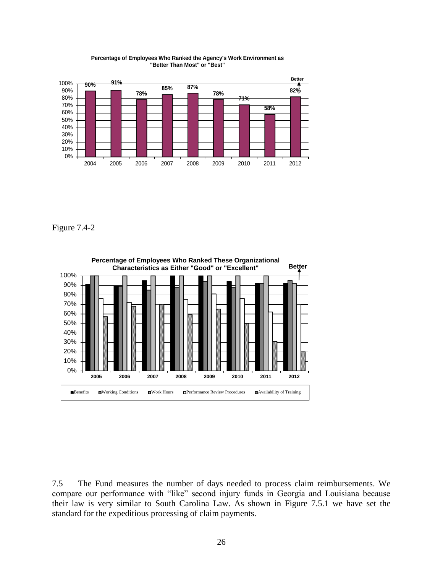

**Percentage of Employees Who Ranked the Agency's Work Environment as "Better Than Most" or "Best"** 

Figure 7.4-2



7.5 The Fund measures the number of days needed to process claim reimbursements. We compare our performance with "like" second injury funds in Georgia and Louisiana because their law is very similar to South Carolina Law. As shown in Figure 7.5.1 we have set the standard for the expeditious processing of claim payments.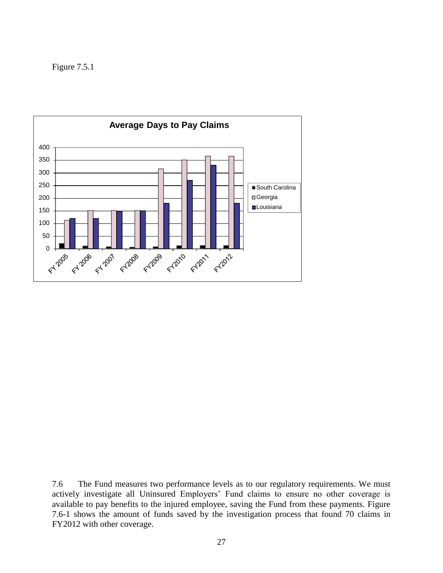Figure 7.5.1



7.6 The Fund measures two performance levels as to our regulatory requirements. We must actively investigate all Uninsured Employers' Fund claims to ensure no other coverage is available to pay benefits to the injured employee, saving the Fund from these payments. Figure 7.6-1 shows the amount of funds saved by the investigation process that found 70 claims in FY2012 with other coverage.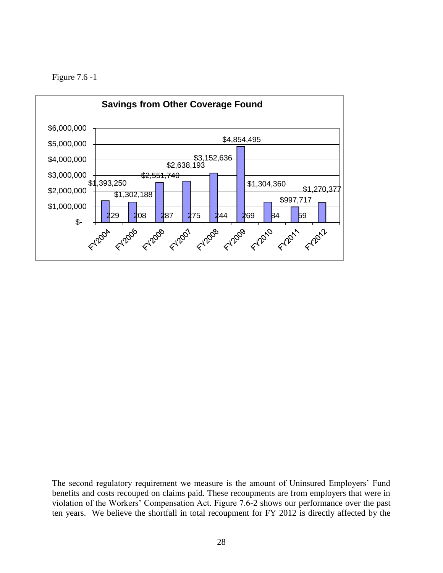



The second regulatory requirement we measure is the amount of Uninsured Employers' Fund benefits and costs recouped on claims paid. These recoupments are from employers that were in violation of the Workers' Compensation Act. Figure 7.6-2 shows our performance over the past ten years. We believe the shortfall in total recoupment for FY 2012 is directly affected by the